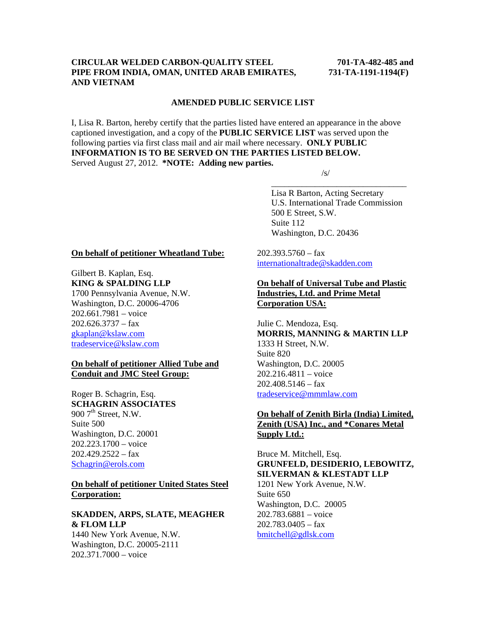### **CIRCULAR WELDED CARBON-QUALITY STEEL 701-TA-482-485 and PIPE FROM INDIA, OMAN, UNITED ARAB EMIRATES, 731-TA-1191-1194(F) AND VIETNAM**

#### **AMENDED PUBLIC SERVICE LIST**

I, Lisa R. Barton, hereby certify that the parties listed have entered an appearance in the above captioned investigation, and a copy of the **PUBLIC SERVICE LIST** was served upon the following parties via first class mail and air mail where necessary. **ONLY PUBLIC INFORMATION IS TO BE SERVED ON THE PARTIES LISTED BELOW.**  Served August 27, 2012. **\*NOTE: Adding new parties.** 

 $\overline{\phantom{a}}$  , and the contract of the contract of the contract of the contract of the contract of the contract of the contract of the contract of the contract of the contract of the contract of the contract of the contrac

 $\sqrt{s}$ /s/

 Lisa R Barton, Acting Secretary U.S. International Trade Commission 500 E Street, S.W. Suite 112 Washington, D.C. 20436

#### **On behalf of petitioner Wheatland Tube:**

Gilbert B. Kaplan, Esq. **KING & SPALDING LLP** 1700 Pennsylvania Avenue, N.W. Washington, D.C. 20006-4706 202.661.7981 – voice  $202.626.3737 - fax$ gkaplan@kslaw.com tradeservice@kslaw.com

### **On behalf of petitioner Allied Tube and Conduit and JMC Steel Group:**

Roger B. Schagrin, Esq. **SCHAGRIN ASSOCIATES** 900  $7<sup>th</sup>$  Street, N.W. Suite 500 Washington, D.C. 20001 202.223.1700 – voice  $202.429.2522 - fax$ Schagrin@erols.com

### **On behalf of petitioner United States Steel Corporation:**

#### **SKADDEN, ARPS, SLATE, MEAGHER & FLOM LLP**

1440 New York Avenue, N.W. Washington, D.C. 20005-2111 202.371.7000 – voice

 $202.393.5760 - fax$ internationaltrade@skadden.com

# **On behalf of Universal Tube and Plastic Industries, Ltd. and Prime Metal Corporation USA:**

Julie C. Mendoza, Esq. **MORRIS, MANNING & MARTIN LLP** 1333 H Street, N.W. Suite 820 Washington, D.C. 20005 202.216.4811 – voice  $202.408.5146 - f$ ax tradeservice@mmmlaw.com

# **On behalf of Zenith Birla (India) Limited, Zenith (USA) Inc., and \*Conares Metal Supply Ltd.:**

Bruce M. Mitchell, Esq. **GRUNFELD, DESIDERIO, LEBOWITZ, SILVERMAN & KLESTADT LLP**  1201 New York Avenue, N.W.

Suite 650 Washington, D.C. 20005 202.783.6881 – voice  $202.783.0405 - fax$ bmitchell@gdlsk.com